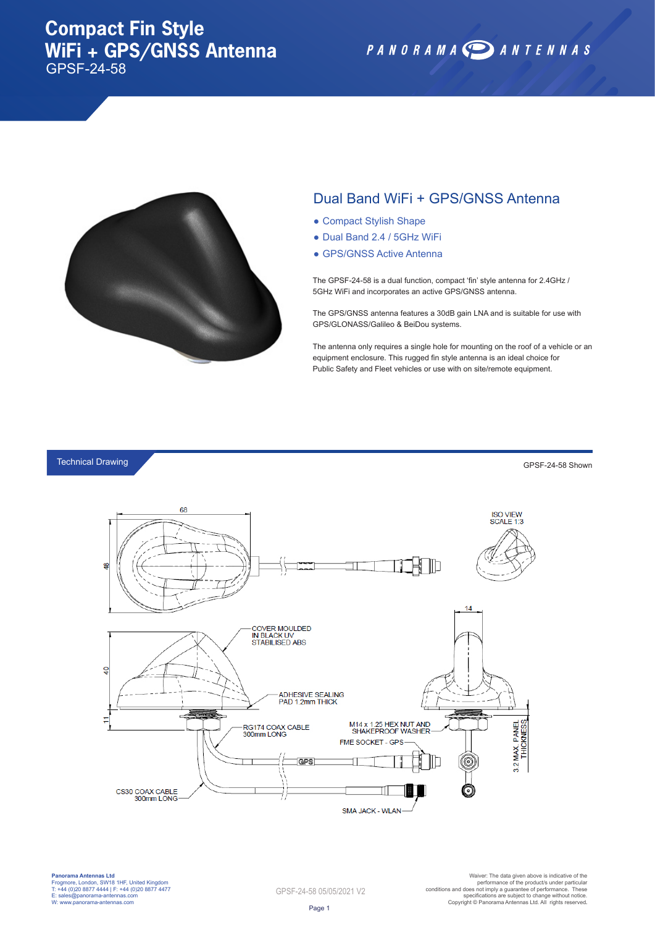# **Compact Fin Style WiFi + GPS/GNSS Antenna** GPSF-24-58

PANORAMA DANTENNAS



### Dual Band WiFi + GPS/GNSS Antenna

- Compact Stylish Shape
- Dual Band 2.4 / 5GHz WiFi
- GPS/GNSS Active Antenna

The GPSF-24-58 is a dual function, compact 'fin' style antenna for 2.4GHz / 5GHz WiFi and incorporates an active GPS/GNSS antenna.

The GPS/GNSS antenna features a 30dB gain LNA and is suitable for use with GPS/GLONASS/Galileo & BeiDou systems.

The antenna only requires a single hole for mounting on the roof of a vehicle or an equipment enclosure. This rugged fin style antenna is an ideal choice for Public Safety and Fleet vehicles or use with on site/remote equipment.

#### Technical Drawing

68 **ISO VIEW** SCALE<sub>1:3</sub> In  $\mathbf{\underline{\alpha}}$ **COVER MOULDED** IN BLACK UV<br>STABILISED ABS  $\frac{1}{4}$ -ADHESIVE SEALING<br>PAD 1.2mm THICK M14 x 1.25 HEX NUT AND<br>SHAKEPROOF WASHER 3.2 MAX. PANEL<br>THICKNESS RG174 COAX CABLE 300mm LONG FME SOCKET - GPS ା GPS । 6 ೯ CS30 COAX CABLE 300mm LONG SMA JACK - WLAN

**Panorama Antennas Ltd** Frogmore, London, SW18 1HF, United Kingdom T: +44 (0)20 8877 4444 | F: +44 (0)20 8877 4477 E: sales@panorama-antennas.com W: www.panorama-antennas.com

Warer: The data given above is indicative of the<br>performance of the product/s under particular<br>conditions and does not imply a guarantee of performance. These<br>specifications are subject to change without notice.<br>Copyright

GPSF-24-58 Shown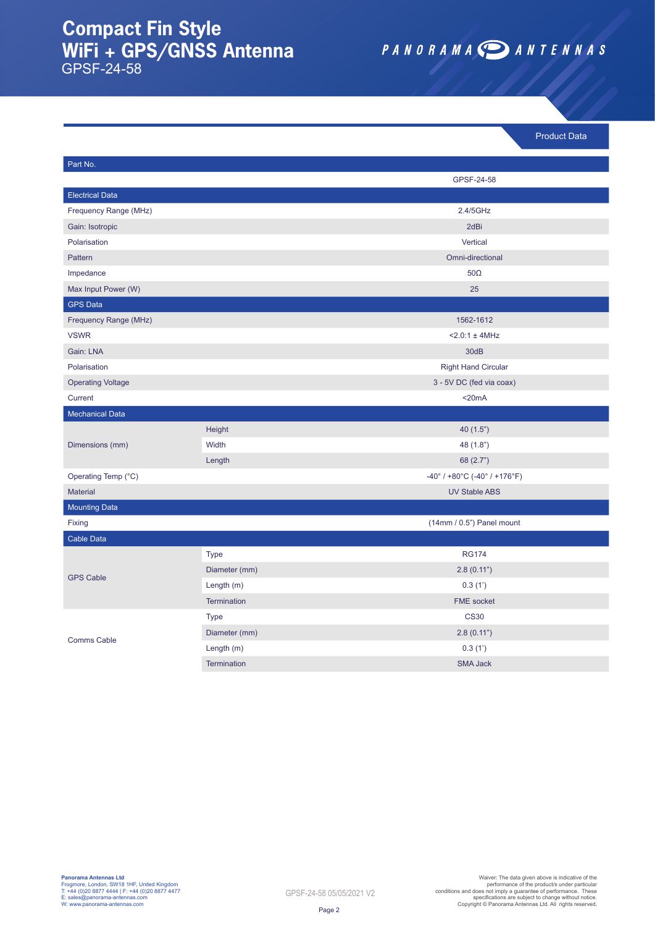# **Compact Fin Style WiFi + GPS/GNSS Antenna**

GPSF-24-58

Product Data

| Part No.                 |                    |                                                                       |
|--------------------------|--------------------|-----------------------------------------------------------------------|
|                          |                    | GPSF-24-58                                                            |
| <b>Electrical Data</b>   |                    |                                                                       |
| Frequency Range (MHz)    |                    | 2.4/5GHz                                                              |
| Gain: Isotropic          |                    | 2dBi                                                                  |
| Polarisation             |                    | Vertical                                                              |
| Pattern                  |                    | Omni-directional                                                      |
| Impedance                |                    | $50\Omega$                                                            |
| Max Input Power (W)      |                    | 25                                                                    |
| <b>GPS Data</b>          |                    |                                                                       |
| Frequency Range (MHz)    |                    | 1562-1612                                                             |
| <b>VSWR</b>              |                    | $< 2.0:1 \pm 4MHz$                                                    |
| Gain: LNA                |                    | 30dB                                                                  |
| Polarisation             |                    | <b>Right Hand Circular</b>                                            |
| <b>Operating Voltage</b> |                    | 3 - 5V DC (fed via coax)                                              |
| Current                  |                    | $<$ 20 $mA$                                                           |
| <b>Mechanical Data</b>   |                    |                                                                       |
| Dimensions (mm)          | Height             | 40(1.5")                                                              |
|                          | Width              | 48 (1.8")                                                             |
|                          | Length             | 68 (2.7")                                                             |
| Operating Temp (°C)      |                    | $-40^{\circ}$ / +80 $^{\circ}$ C (-40 $^{\circ}$ / +176 $^{\circ}$ F) |
| <b>Material</b>          |                    | <b>UV Stable ABS</b>                                                  |
| <b>Mounting Data</b>     |                    |                                                                       |
| Fixing                   |                    | $(14mm/0.5")$ Panel mount                                             |
| Cable Data               |                    |                                                                       |
| <b>GPS Cable</b>         | <b>Type</b>        | <b>RG174</b>                                                          |
|                          | Diameter (mm)      | 2.8(0.11")                                                            |
|                          | Length $(m)$       | 0.3(1')                                                               |
|                          | <b>Termination</b> | <b>FME</b> socket                                                     |
| <b>Comms Cable</b>       | <b>Type</b>        | <b>CS30</b>                                                           |
|                          | Diameter (mm)      | 2.8(0.11")                                                            |
|                          | Length (m)         | 0.3(1')                                                               |
|                          | Termination        | <b>SMA Jack</b>                                                       |